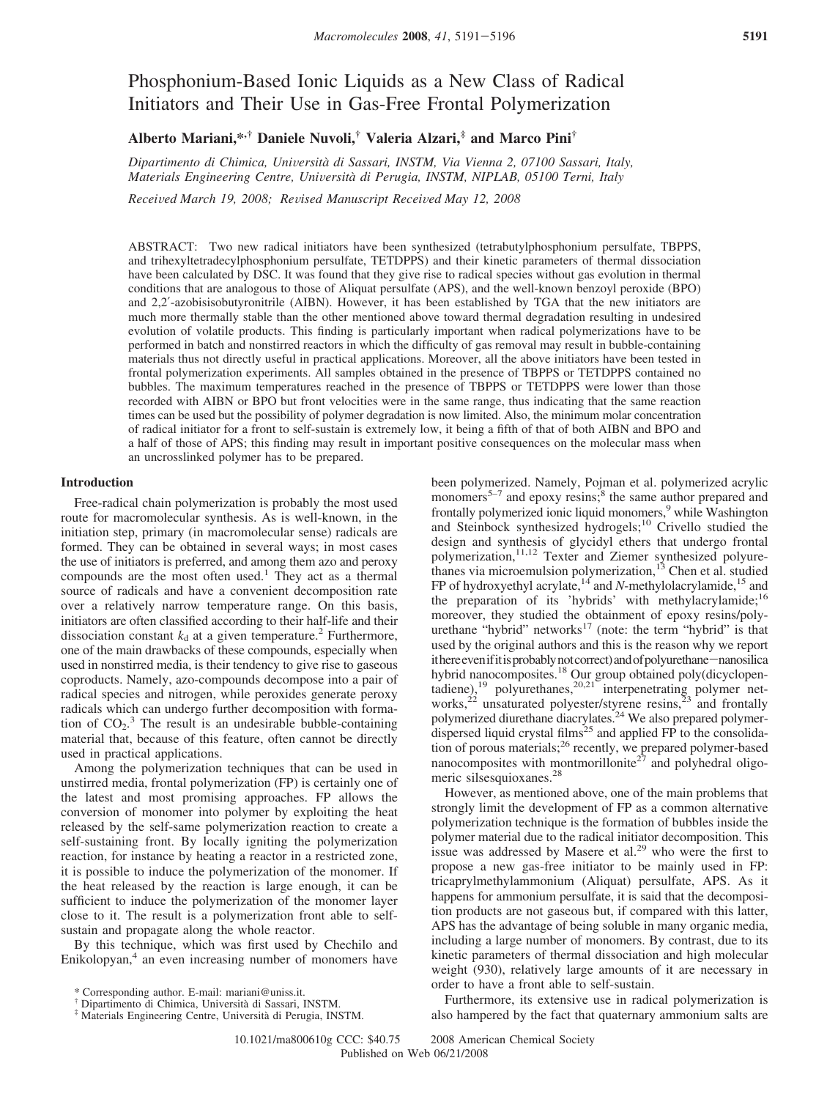# Phosphonium-Based Ionic Liquids as a New Class of Radical Initiators and Their Use in Gas-Free Frontal Polymerization

## **Alberto Mariani,\*,† Daniele Nuvoli,† Valeria Alzari,‡ and Marco Pini†**

*Dipartimento di Chimica, Uni*V*ersita` di Sassari, INSTM, Via Vienna 2, 07100 Sassari, Italy, Materials Engineering Centre, Uni*V*ersita` di Perugia, INSTM, NIPLAB, 05100 Terni, Italy*

*Received March 19, 2008; Revised Manuscript Received May 12, 2008* 

ABSTRACT: Two new radical initiators have been synthesized (tetrabutylphosphonium persulfate, TBPPS, and trihexyltetradecylphosphonium persulfate, TETDPPS) and their kinetic parameters of thermal dissociation have been calculated by DSC. It was found that they give rise to radical species without gas evolution in thermal conditions that are analogous to those of Aliquat persulfate (APS), and the well-known benzoyl peroxide (BPO) and 2,2′-azobisisobutyronitrile (AIBN). However, it has been established by TGA that the new initiators are much more thermally stable than the other mentioned above toward thermal degradation resulting in undesired evolution of volatile products. This finding is particularly important when radical polymerizations have to be performed in batch and nonstirred reactors in which the difficulty of gas removal may result in bubble-containing materials thus not directly useful in practical applications. Moreover, all the above initiators have been tested in frontal polymerization experiments. All samples obtained in the presence of TBPPS or TETDPPS contained no bubbles. The maximum temperatures reached in the presence of TBPPS or TETDPPS were lower than those recorded with AIBN or BPO but front velocities were in the same range, thus indicating that the same reaction times can be used but the possibility of polymer degradation is now limited. Also, the minimum molar concentration of radical initiator for a front to self-sustain is extremely low, it being a fifth of that of both AIBN and BPO and a half of those of APS; this finding may result in important positive consequences on the molecular mass when an uncrosslinked polymer has to be prepared.

### **Introduction**

Free-radical chain polymerization is probably the most used route for macromolecular synthesis. As is well-known, in the initiation step, primary (in macromolecular sense) radicals are formed. They can be obtained in several ways; in most cases the use of initiators is preferred, and among them azo and peroxy compounds are the most often used.<sup>1</sup> They act as a thermal source of radicals and have a convenient decomposition rate over a relatively narrow temperature range. On this basis, initiators are often classified according to their half-life and their dissociation constant  $k_d$  at a given temperature.<sup>2</sup> Furthermore, one of the main drawbacks of these compounds, especially when used in nonstirred media, is their tendency to give rise to gaseous coproducts. Namely, azo-compounds decompose into a pair of radical species and nitrogen, while peroxides generate peroxy radicals which can undergo further decomposition with formation of  $CO<sub>2</sub>$ .<sup>3</sup> The result is an undesirable bubble-containing material that, because of this feature, often cannot be directly used in practical applications.

Among the polymerization techniques that can be used in unstirred media, frontal polymerization (FP) is certainly one of the latest and most promising approaches. FP allows the conversion of monomer into polymer by exploiting the heat released by the self-same polymerization reaction to create a self-sustaining front. By locally igniting the polymerization reaction, for instance by heating a reactor in a restricted zone, it is possible to induce the polymerization of the monomer. If the heat released by the reaction is large enough, it can be sufficient to induce the polymerization of the monomer layer close to it. The result is a polymerization front able to selfsustain and propagate along the whole reactor.

By this technique, which was first used by Chechilo and Enikolopyan,<sup>4</sup> an even increasing number of monomers have been polymerized. Namely, Pojman et al. polymerized acrylic monomers<sup>5–7</sup> and epoxy resins;<sup>8</sup> the same author prepared and frontally polymerized ionic liquid monomers,<sup>9</sup> while Washington and Steinbock synthesized hydrogels;<sup>10</sup> Crivello studied the design and synthesis of glycidyl ethers that undergo frontal polymerization,<sup>11,12</sup> Texter and Ziemer synthesized polyurethanes via microemulsion polymerization,13 Chen et al. studied FP of hydroxyethyl acrylate,<sup>14</sup> and *N*-methylolacrylamide,<sup>15</sup> and the preparation of its 'hybrids' with methylacrylamide;<sup>16</sup> moreover, they studied the obtainment of epoxy resins/polyurethane "hybrid" networks $17$  (note: the term "hybrid" is that used by the original authors and this is the reason why we report ithere even if it is probably not correct) and of polyure than e-nanosilica ithere even if it is probably not correct) and of polyurethane—nanosilica<br>hybrid nanocomposites.<sup>18</sup> Our group obtained poly(dicyclopentadiene),<sup>19</sup> polyurethanes,<sup>20,21</sup> interpenetrating polymer networks,<sup>22</sup> unsaturated polyester/styrene resins, $23$  and frontally polymerized diurethane diacrylates.<sup>24</sup> We also prepared polymerdispersed liquid crystal films<sup>25</sup> and applied  $\overline{\text{FP}}$  to the consolidation of porous materials;26 recently, we prepared polymer-based nanocomposites with montmorillonite<sup>27</sup> and polyhedral oligomeric silsesquioxanes. $^{2}$ 

However, as mentioned above, one of the main problems that strongly limit the development of FP as a common alternative polymerization technique is the formation of bubbles inside the polymer material due to the radical initiator decomposition. This issue was addressed by Masere et al.<sup>29</sup> who were the first to propose a new gas-free initiator to be mainly used in FP: tricaprylmethylammonium (Aliquat) persulfate, APS. As it happens for ammonium persulfate, it is said that the decomposition products are not gaseous but, if compared with this latter, APS has the advantage of being soluble in many organic media, including a large number of monomers. By contrast, due to its kinetic parameters of thermal dissociation and high molecular weight (930), relatively large amounts of it are necessary in order to have a front able to self-sustain.

Furthermore, its extensive use in radical polymerization is also hampered by the fact that quaternary ammonium salts are

<sup>\*</sup> Corresponding author. E-mail: mariani@uniss.it.

<sup>†</sup> Dipartimento di Chimica, Universita` di Sassari, INSTM. ‡ Materials Engineering Centre, Universita` di Perugia, INSTM.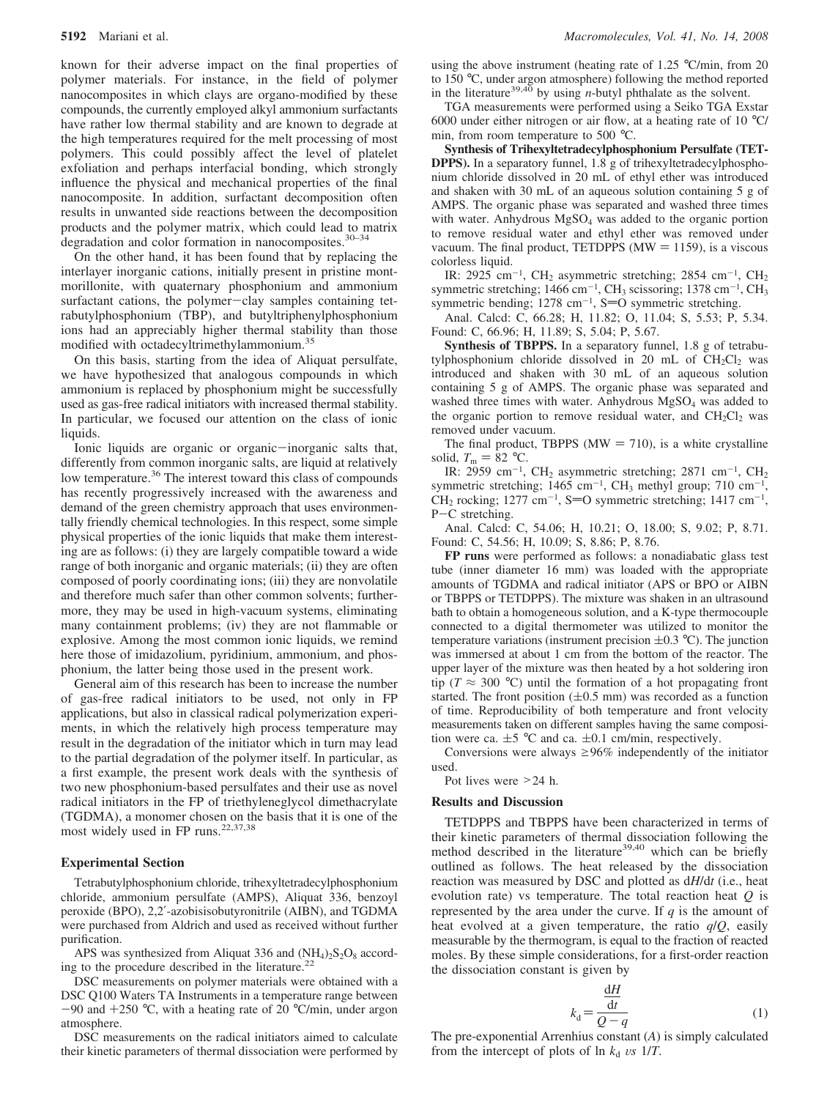known for their adverse impact on the final properties of polymer materials. For instance, in the field of polymer nanocomposites in which clays are organo-modified by these compounds, the currently employed alkyl ammonium surfactants have rather low thermal stability and are known to degrade at the high temperatures required for the melt processing of most polymers. This could possibly affect the level of platelet exfoliation and perhaps interfacial bonding, which strongly influence the physical and mechanical properties of the final nanocomposite. In addition, surfactant decomposition often results in unwanted side reactions between the decomposition products and the polymer matrix, which could lead to matrix degradation and color formation in nanocomposites. $30-34$ 

On the other hand, it has been found that by replacing the interlayer inorganic cations, initially present in pristine montmorillonite, with quaternary phosphonium and ammonium surfactant cations, the polymer-clay samples containing tetrabutylphosphonium (TBP), and butyltriphenylphosphonium ions had an appreciably higher thermal stability than those modified with octadecyltrimethylammonium.<sup>35</sup>

On this basis, starting from the idea of Aliquat persulfate, we have hypothesized that analogous compounds in which ammonium is replaced by phosphonium might be successfully used as gas-free radical initiators with increased thermal stability. In particular, we focused our attention on the class of ionic liquids.

Ionic liquids are organic or organic-inorganic salts that, differently from common inorganic salts, are liquid at relatively low temperature.<sup>36</sup> The interest toward this class of compounds has recently progressively increased with the awareness and demand of the green chemistry approach that uses environmentally friendly chemical technologies. In this respect, some simple physical properties of the ionic liquids that make them interesting are as follows: (i) they are largely compatible toward a wide range of both inorganic and organic materials; (ii) they are often composed of poorly coordinating ions; (iii) they are nonvolatile and therefore much safer than other common solvents; furthermore, they may be used in high-vacuum systems, eliminating many containment problems; (iv) they are not flammable or explosive. Among the most common ionic liquids, we remind here those of imidazolium, pyridinium, ammonium, and phosphonium, the latter being those used in the present work.

General aim of this research has been to increase the number of gas-free radical initiators to be used, not only in FP applications, but also in classical radical polymerization experiments, in which the relatively high process temperature may result in the degradation of the initiator which in turn may lead to the partial degradation of the polymer itself. In particular, as a first example, the present work deals with the synthesis of two new phosphonium-based persulfates and their use as novel radical initiators in the FP of triethyleneglycol dimethacrylate (TGDMA), a monomer chosen on the basis that it is one of the most widely used in FP runs.<sup>22,37,38</sup>

#### **Experimental Section**

Tetrabutylphosphonium chloride, trihexyltetradecylphosphonium chloride, ammonium persulfate (AMPS), Aliquat 336, benzoyl peroxide (BPO), 2,2′-azobisisobutyronitrile (AIBN), and TGDMA were purchased from Aldrich and used as received without further purification.

APS was synthesized from Aliquat 336 and  $(NH<sub>4</sub>)<sub>2</sub>S<sub>2</sub>O<sub>8</sub>$  according to the procedure described in the literature.<sup>22</sup>

DSC measurements on polymer materials were obtained with a DSC Q100 Waters TA Instruments in a temperature range between  $-90$  and  $+250$  °C, with a heating rate of 20 °C/min, under argon atmosphere.

DSC measurements on the radical initiators aimed to calculate their kinetic parameters of thermal dissociation were performed by using the above instrument (heating rate of 1.25 °C/min, from 20 to 150 °C, under argon atmosphere) following the method reported in the literature<sup>39,40</sup> by using *n*-butyl phthalate as the solvent.

TGA measurements were performed using a Seiko TGA Exstar 6000 under either nitrogen or air flow, at a heating rate of 10 °C/ min, from room temperature to 500 °C.

**Synthesis of Trihexyltetradecylphosphonium Persulfate (TET-DPPS).** In a separatory funnel, 1.8 g of trihexyltetradecylphosphonium chloride dissolved in 20 mL of ethyl ether was introduced and shaken with 30 mL of an aqueous solution containing 5 g of AMPS. The organic phase was separated and washed three times with water. Anhydrous MgSO<sub>4</sub> was added to the organic portion to remove residual water and ethyl ether was removed under vacuum. The final product, TETDPPS ( $MW = 1159$ ), is a viscous colorless liquid.

IR: 2925 cm<sup>-1</sup>, CH<sub>2</sub> asymmetric stretching; 2854 cm<sup>-1</sup>, CH<sub>2</sub> symmetric stretching;  $1466 \text{ cm}^{-1}$ , CH<sub>3</sub> scissoring;  $1378 \text{ cm}^{-1}$ , CH<sub>3</sub> symmetric bending;  $1278 \text{ cm}^{-1}$ , S=O symmetric stretching.

Anal. Calcd: C, 66.28; H, 11.82; O, 11.04; S, 5.53; P, 5.34. Found: C, 66.96; H, 11.89; S, 5.04; P, 5.67.

**Synthesis of TBPPS.** In a separatory funnel, 1.8 g of tetrabutylphosphonium chloride dissolved in 20 mL of  $CH_2Cl_2$  was introduced and shaken with 30 mL of an aqueous solution containing 5 g of AMPS. The organic phase was separated and washed three times with water. Anhydrous MgSO<sub>4</sub> was added to the organic portion to remove residual water, and  $CH_2Cl_2$  was removed under vacuum.

The final product, TBPPS ( $MW = 710$ ), is a white crystalline solid,  $T_m = 82$  °C.

IR: 2959 cm<sup>-1</sup>, CH<sub>2</sub> asymmetric stretching; 2871 cm<sup>-1</sup>, CH<sub>2</sub> symmetric stretching;  $1465 \text{ cm}^{-1}$ , CH<sub>3</sub> methyl group;  $710 \text{ cm}^{-1}$ , CH<sub>2</sub> rocking; 1277 cm<sup>-1</sup>, S=O symmetric stretching; 1417 cm<sup>-1</sup>, P-C stretching.

Anal. Calcd: C, 54.06; H, 10.21; O, 18.00; S, 9.02; P, 8.71. Found: C, 54.56; H, 10.09; S, 8.86; P, 8.76.

**FP runs** were performed as follows: a nonadiabatic glass test tube (inner diameter 16 mm) was loaded with the appropriate amounts of TGDMA and radical initiator (APS or BPO or AIBN or TBPPS or TETDPPS). The mixture was shaken in an ultrasound bath to obtain a homogeneous solution, and a K-type thermocouple connected to a digital thermometer was utilized to monitor the temperature variations (instrument precision  $\pm 0.3$  °C). The junction was immersed at about 1 cm from the bottom of the reactor. The upper layer of the mixture was then heated by a hot soldering iron tip ( $T \approx 300$  °C) until the formation of a hot propagating front started. The front position  $(\pm 0.5 \text{ mm})$  was recorded as a function of time. Reproducibility of both temperature and front velocity measurements taken on different samples having the same composition were ca.  $\pm 5$  °C and ca.  $\pm 0.1$  cm/min, respectively.

Conversions were always  $\geq 96\%$  independently of the initiator used.

Pot lives were >24 h.

#### **Results and Discussion**

TETDPPS and TBPPS have been characterized in terms of their kinetic parameters of thermal dissociation following the method described in the literature<sup>39,40</sup> which can be briefly outlined as follows. The heat released by the dissociation reaction was measured by DSC and plotted as d*H*/d*t* (i.e., heat evolution rate) vs temperature. The total reaction heat *Q* is represented by the area under the curve. If *q* is the amount of heat evolved at a given temperature, the ratio *q*/*Q*, easily measurable by the thermogram, is equal to the fraction of reacted moles. By these simple considerations, for a first-order reaction the dissociation constant is given by

$$
k_{\rm d} = \frac{\frac{\mathrm{d}H}{\mathrm{d}t}}{Q - q} \tag{1}
$$

 $\frac{q}{q}$   $Q - q$ <br>The pre-exponential Arrenhius constant (*A*) is simply calculated from the intercept of plots of  $\ln k_d$  vs  $1/T$ .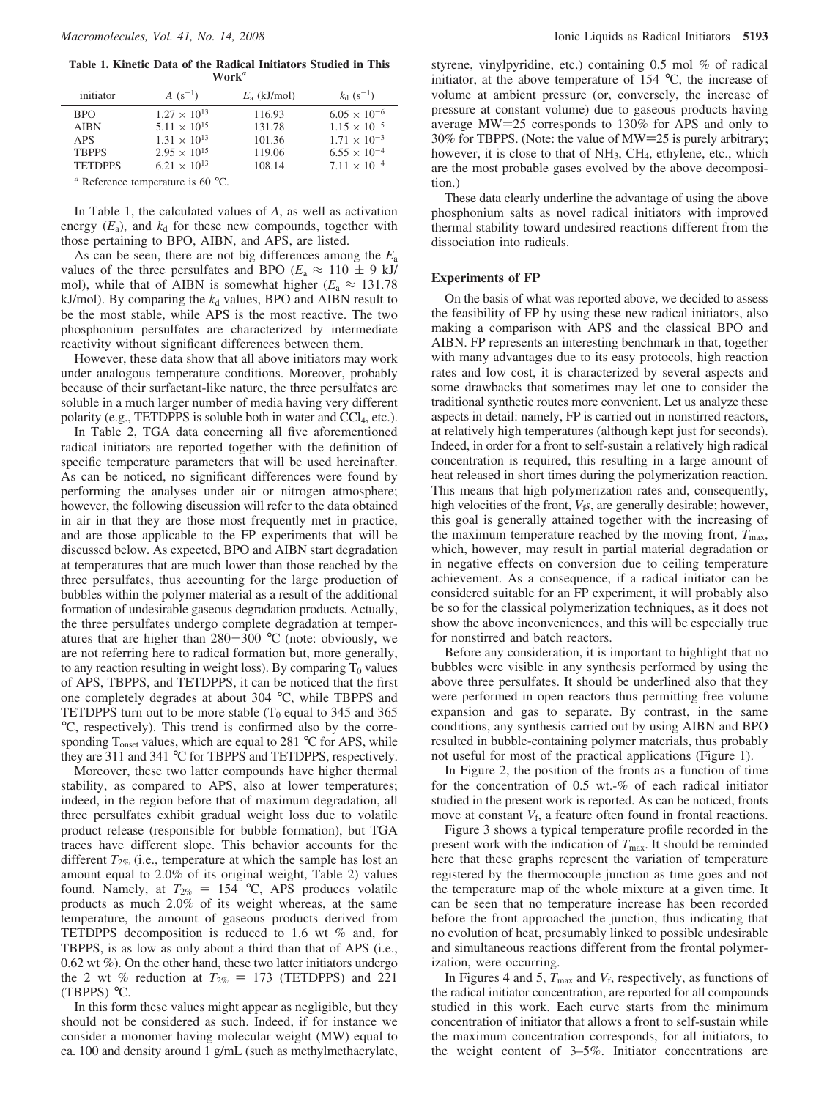**Table 1. Kinetic Data of the Radical Initiators Studied in This Work***<sup>a</sup>*

| initiator                                | $A(s^{-1})$           | $E_a$ (kJ/mol) | $k_d$ (s <sup>-1</sup> ) |  |  |  |
|------------------------------------------|-----------------------|----------------|--------------------------|--|--|--|
| <b>BPO</b>                               | $1.27 \times 10^{13}$ | 116.93         | $6.05 \times 10^{-6}$    |  |  |  |
| <b>AIBN</b>                              | $5.11 \times 10^{15}$ | 131.78         | $1.15 \times 10^{-5}$    |  |  |  |
| <b>APS</b>                               | $1.31 \times 10^{13}$ | 101.36         | $1.71 \times 10^{-3}$    |  |  |  |
| <b>TBPPS</b>                             | $2.95 \times 10^{15}$ | 119.06         | $6.55 \times 10^{-4}$    |  |  |  |
| <b>TETDPPS</b>                           | $6.21 \times 10^{13}$ | 108.14         | $7.11 \times 10^{-4}$    |  |  |  |
| $\alpha$ Reference temperature is 60 °C. |                       |                |                          |  |  |  |

In Table 1, the calculated values of *A*, as well as activation energy  $(E_a)$ , and  $k_d$  for these new compounds, together with those pertaining to BPO, AIBN, and APS, are listed.

As can be seen, there are not big differences among the *E*<sup>a</sup> values of the three persulfates and BPO ( $E_a \approx 110 \pm 9$  kJ/ mol), while that of AIBN is somewhat higher ( $E_a \approx 131.78$ ) kJ/mol). By comparing the  $k_d$  values, BPO and AIBN result to be the most stable, while APS is the most reactive. The two phosphonium persulfates are characterized by intermediate reactivity without significant differences between them.

However, these data show that all above initiators may work under analogous temperature conditions. Moreover, probably because of their surfactant-like nature, the three persulfates are soluble in a much larger number of media having very different polarity (e.g., TETDPPS is soluble both in water and CCl4, etc.).

In Table 2, TGA data concerning all five aforementioned radical initiators are reported together with the definition of specific temperature parameters that will be used hereinafter. As can be noticed, no significant differences were found by performing the analyses under air or nitrogen atmosphere; however, the following discussion will refer to the data obtained in air in that they are those most frequently met in practice, and are those applicable to the FP experiments that will be discussed below. As expected, BPO and AIBN start degradation at temperatures that are much lower than those reached by the three persulfates, thus accounting for the large production of bubbles within the polymer material as a result of the additional formation of undesirable gaseous degradation products. Actually, the three persulfates undergo complete degradation at temperatures that are higher than 280-<sup>300</sup> °C (note: obviously, we are not referring here to radical formation but, more generally, to any reaction resulting in weight loss). By comparing  $T_0$  values of APS, TBPPS, and TETDPPS, it can be noticed that the first one completely degrades at about 304 °C, while TBPPS and TETDPPS turn out to be more stable  $(T_0)$  equal to 345 and 365 °C, respectively). This trend is confirmed also by the corresponding T<sub>onset</sub> values, which are equal to 281 °C for APS, while they are 311 and 341 °C for TBPPS and TETDPPS, respectively.

Moreover, these two latter compounds have higher thermal stability, as compared to APS, also at lower temperatures; indeed, in the region before that of maximum degradation, all three persulfates exhibit gradual weight loss due to volatile product release (responsible for bubble formation), but TGA traces have different slope. This behavior accounts for the different *T*2% (i.e., temperature at which the sample has lost an amount equal to 2.0% of its original weight, Table 2) values found. Namely, at  $T_{2\%} = 154$  °C, APS produces volatile products as much 2.0% of its weight whereas, at the same temperature, the amount of gaseous products derived from TETDPPS decomposition is reduced to 1.6 wt % and, for TBPPS, is as low as only about a third than that of APS (i.e., 0.62 wt %). On the other hand, these two latter initiators undergo the 2 wt % reduction at  $T_{2\%} = 173$  (TETDPPS) and 221 (TBPPS) °C.

In this form these values might appear as negligible, but they should not be considered as such. Indeed, if for instance we consider a monomer having molecular weight (MW) equal to ca. 100 and density around 1 g/mL (such as methylmethacrylate, styrene, vinylpyridine, etc.) containing 0.5 mol % of radical initiator, at the above temperature of 154 °C, the increase of volume at ambient pressure (or, conversely, the increase of pressure at constant volume) due to gaseous products having average  $MW=25$  corresponds to 130% for APS and only to  $30\%$  for TBPPS. (Note: the value of MW=25 is purely arbitrary; however, it is close to that of NH3, CH4, ethylene, etc., which are the most probable gases evolved by the above decomposition.)

These data clearly underline the advantage of using the above phosphonium salts as novel radical initiators with improved thermal stability toward undesired reactions different from the dissociation into radicals.

#### **Experiments of FP**

On the basis of what was reported above, we decided to assess the feasibility of FP by using these new radical initiators, also making a comparison with APS and the classical BPO and AIBN. FP represents an interesting benchmark in that, together with many advantages due to its easy protocols, high reaction rates and low cost, it is characterized by several aspects and some drawbacks that sometimes may let one to consider the traditional synthetic routes more convenient. Let us analyze these aspects in detail: namely, FP is carried out in nonstirred reactors, at relatively high temperatures (although kept just for seconds). Indeed, in order for a front to self-sustain a relatively high radical concentration is required, this resulting in a large amount of heat released in short times during the polymerization reaction. This means that high polymerization rates and, consequently, high velocities of the front, *V*<sub>f</sub>*s*, are generally desirable; however, this goal is generally attained together with the increasing of the maximum temperature reached by the moving front,  $T_{\text{max}}$ , which, however, may result in partial material degradation or in negative effects on conversion due to ceiling temperature achievement. As a consequence, if a radical initiator can be considered suitable for an FP experiment, it will probably also be so for the classical polymerization techniques, as it does not show the above inconveniences, and this will be especially true for nonstirred and batch reactors.

Before any consideration, it is important to highlight that no bubbles were visible in any synthesis performed by using the above three persulfates. It should be underlined also that they were performed in open reactors thus permitting free volume expansion and gas to separate. By contrast, in the same conditions, any synthesis carried out by using AIBN and BPO resulted in bubble-containing polymer materials, thus probably not useful for most of the practical applications (Figure 1).

In Figure 2, the position of the fronts as a function of time for the concentration of 0.5 wt.-% of each radical initiator studied in the present work is reported. As can be noticed, fronts move at constant  $V_f$ , a feature often found in frontal reactions.

Figure 3 shows a typical temperature profile recorded in the present work with the indication of  $T_{\text{max}}$ . It should be reminded here that these graphs represent the variation of temperature registered by the thermocouple junction as time goes and not the temperature map of the whole mixture at a given time. It can be seen that no temperature increase has been recorded before the front approached the junction, thus indicating that no evolution of heat, presumably linked to possible undesirable and simultaneous reactions different from the frontal polymerization, were occurring.

In Figures 4 and 5,  $T_{\text{max}}$  and  $V_f$ , respectively, as functions of the radical initiator concentration, are reported for all compounds studied in this work. Each curve starts from the minimum concentration of initiator that allows a front to self-sustain while the maximum concentration corresponds, for all initiators, to the weight content of 3–5%. Initiator concentrations are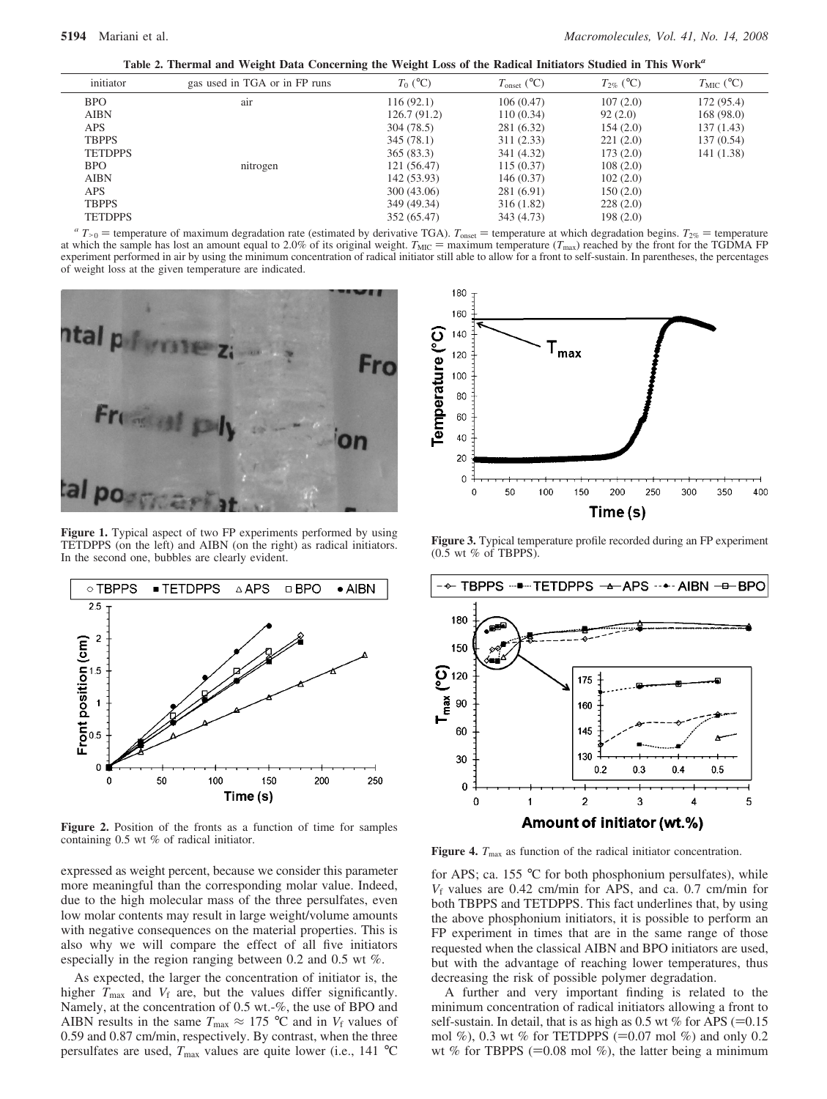**Table 2. Thermal and Weight Data Concerning the Weight Loss of the Radical Initiators Studied in This Work***<sup>a</sup>*

| initiator      | gas used in TGA or in FP runs | $T_0$ (°C)  | $T_{\text{onset}}$ (°C) | $T_{2\%}$ (°C) | $T_{\text{MIC}}$ ( $^{\circ}$ C) |
|----------------|-------------------------------|-------------|-------------------------|----------------|----------------------------------|
| <b>BPO</b>     | air                           | 116(92.1)   | 106(0.47)               | 107(2.0)       | 172 (95.4)                       |
| <b>AIBN</b>    |                               | 126.7(91.2) | 110(0.34)               | 92(2.0)        | 168(98.0)                        |
| <b>APS</b>     |                               | 304(78.5)   | 281 (6.32)              | 154(2.0)       | 137(1.43)                        |
| <b>TBPPS</b>   |                               | 345(78.1)   | 311(2.33)               | 221(2.0)       | 137(0.54)                        |
| <b>TETDPPS</b> |                               | 365(83.3)   | 341 (4.32)              | 173(2.0)       | 141 (1.38)                       |
| <b>BPO</b>     | nitrogen                      | 121(56.47)  | 115(0.37)               | 108(2.0)       |                                  |
| <b>AIBN</b>    |                               | 142(53.93)  | 146(0.37)               | 102(2.0)       |                                  |
| <b>APS</b>     |                               | 300 (43.06) | 281 (6.91)              | 150(2.0)       |                                  |
| <b>TBPPS</b>   |                               | 349 (49.34) | 316 (1.82)              | 228(2.0)       |                                  |
| <b>TETDPPS</b> |                               | 352 (65.47) | 343 (4.73)              | 198(2.0)       |                                  |
|                |                               |             |                         |                |                                  |

 $a_{T>0}$  = temperature of maximum degradation rate (estimated by derivative TGA).  $T_{onset}$  = temperature at which degradation begins.  $T_{2%}$  = temperature at which the sample has lost an amount equal to 2.0% of its original weight.  $T_{\text{MIC}} =$  maximum temperature ( $T_{\text{max}}$ ) reached by the front for the TGDMA FP experiment performed in air by using the minimum concentration of radical initiator still able to allow for a front to self-sustain. In parentheses, the percentages of weight loss at the given temperature are indicated.



**Figure 1.** Typical aspect of two FP experiments performed by using TETDPPS (on the left) and AIBN (on the right) as radical initiators. In the second one, bubbles are clearly evident.



**Figure 2.** Position of the fronts as a function of time for samples containing 0.5 wt % of radical initiator.

expressed as weight percent, because we consider this parameter more meaningful than the corresponding molar value. Indeed, due to the high molecular mass of the three persulfates, even low molar contents may result in large weight/volume amounts with negative consequences on the material properties. This is also why we will compare the effect of all five initiators especially in the region ranging between 0.2 and 0.5 wt %.

As expected, the larger the concentration of initiator is, the higher  $T_{\text{max}}$  and  $V_f$  are, but the values differ significantly. Namely, at the concentration of 0.5 wt.-%, the use of BPO and AIBN results in the same  $T_{\text{max}} \approx 175$  °C and in  $V_f$  values of 0.59 and 0.87 cm/min, respectively. By contrast, when the three persulfates are used, *T*max values are quite lower (i.e., 141 °C



**Figure 3.** Typical temperature profile recorded during an FP experiment (0.5 wt % of TBPPS).



**Figure 4.**  $T_{\text{max}}$  as function of the radical initiator concentration.

for APS; ca. 155  $\degree$ C for both phosphonium persulfates), while *V*<sup>f</sup> values are 0.42 cm/min for APS, and ca. 0.7 cm/min for both TBPPS and TETDPPS. This fact underlines that, by using the above phosphonium initiators, it is possible to perform an FP experiment in times that are in the same range of those requested when the classical AIBN and BPO initiators are used, but with the advantage of reaching lower temperatures, thus decreasing the risk of possible polymer degradation.

A further and very important finding is related to the minimum concentration of radical initiators allowing a front to self-sustain. In detail, that is as high as  $0.5$  wt % for APS (=0.15) mol %), 0.3 wt % for TETDPPS (=0.07 mol %) and only 0.2 wt % for TBPPS (=0.08 mol %), the latter being a minimum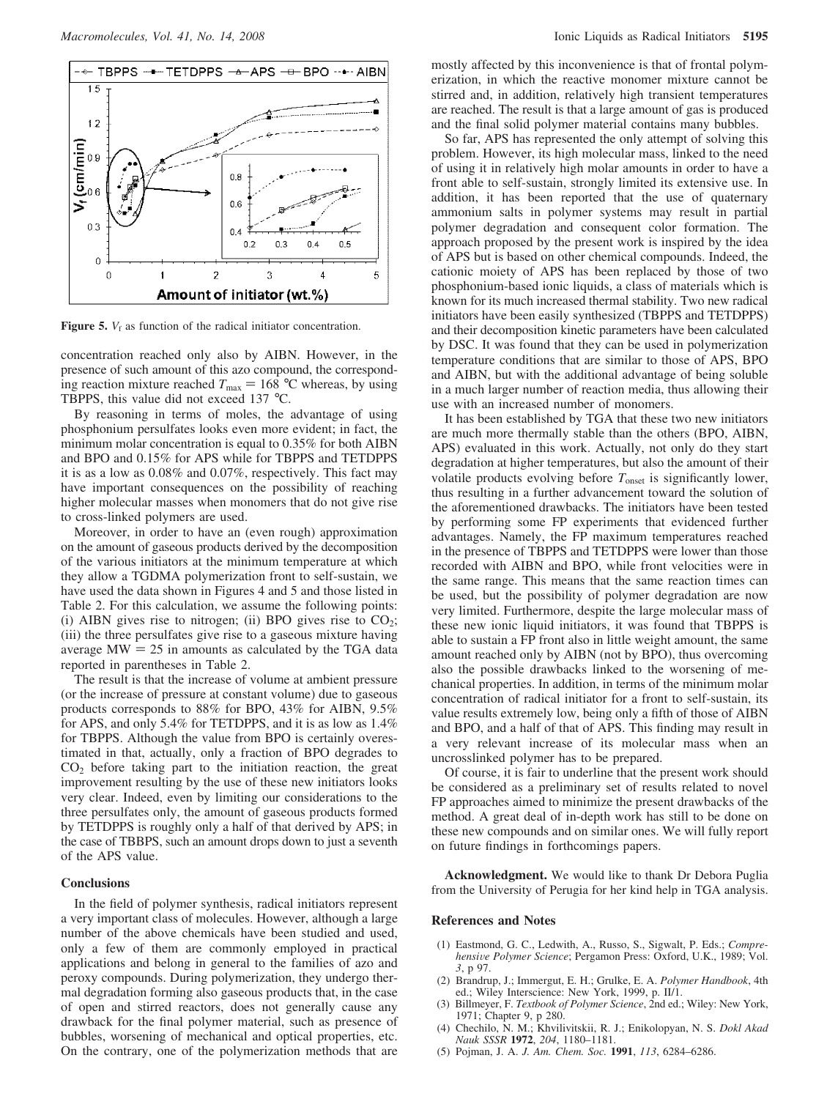

**Figure 5.**  $V_f$  as function of the radical initiator concentration.

concentration reached only also by AIBN. However, in the presence of such amount of this azo compound, the corresponding reaction mixture reached  $T_{\text{max}} = 168 \text{ °C}$  whereas, by using TBPPS, this value did not exceed 137 °C.

By reasoning in terms of moles, the advantage of using phosphonium persulfates looks even more evident; in fact, the minimum molar concentration is equal to 0.35% for both AIBN and BPO and 0.15% for APS while for TBPPS and TETDPPS it is as a low as 0.08% and 0.07%, respectively. This fact may have important consequences on the possibility of reaching higher molecular masses when monomers that do not give rise to cross-linked polymers are used.

Moreover, in order to have an (even rough) approximation on the amount of gaseous products derived by the decomposition of the various initiators at the minimum temperature at which they allow a TGDMA polymerization front to self-sustain, we have used the data shown in Figures 4 and 5 and those listed in Table 2. For this calculation, we assume the following points: (i) AIBN gives rise to nitrogen; (ii) BPO gives rise to  $CO<sub>2</sub>$ ; (iii) the three persulfates give rise to a gaseous mixture having average  $MW = 25$  in amounts as calculated by the TGA data reported in parentheses in Table 2.

The result is that the increase of volume at ambient pressure (or the increase of pressure at constant volume) due to gaseous products corresponds to 88% for BPO, 43% for AIBN, 9.5% for APS, and only 5.4% for TETDPPS, and it is as low as 1.4% for TBPPS. Although the value from BPO is certainly overestimated in that, actually, only a fraction of BPO degrades to CO2 before taking part to the initiation reaction, the great improvement resulting by the use of these new initiators looks very clear. Indeed, even by limiting our considerations to the three persulfates only, the amount of gaseous products formed by TETDPPS is roughly only a half of that derived by APS; in the case of TBBPS, such an amount drops down to just a seventh of the APS value.

#### **Conclusions**

In the field of polymer synthesis, radical initiators represent a very important class of molecules. However, although a large number of the above chemicals have been studied and used, only a few of them are commonly employed in practical applications and belong in general to the families of azo and peroxy compounds. During polymerization, they undergo thermal degradation forming also gaseous products that, in the case of open and stirred reactors, does not generally cause any drawback for the final polymer material, such as presence of bubbles, worsening of mechanical and optical properties, etc. On the contrary, one of the polymerization methods that are mostly affected by this inconvenience is that of frontal polymerization, in which the reactive monomer mixture cannot be stirred and, in addition, relatively high transient temperatures are reached. The result is that a large amount of gas is produced and the final solid polymer material contains many bubbles.

So far, APS has represented the only attempt of solving this problem. However, its high molecular mass, linked to the need of using it in relatively high molar amounts in order to have a front able to self-sustain, strongly limited its extensive use. In addition, it has been reported that the use of quaternary ammonium salts in polymer systems may result in partial polymer degradation and consequent color formation. The approach proposed by the present work is inspired by the idea of APS but is based on other chemical compounds. Indeed, the cationic moiety of APS has been replaced by those of two phosphonium-based ionic liquids, a class of materials which is known for its much increased thermal stability. Two new radical initiators have been easily synthesized (TBPPS and TETDPPS) and their decomposition kinetic parameters have been calculated by DSC. It was found that they can be used in polymerization temperature conditions that are similar to those of APS, BPO and AIBN, but with the additional advantage of being soluble in a much larger number of reaction media, thus allowing their use with an increased number of monomers.

It has been established by TGA that these two new initiators are much more thermally stable than the others (BPO, AIBN, APS) evaluated in this work. Actually, not only do they start degradation at higher temperatures, but also the amount of their volatile products evolving before  $T_{onset}$  is significantly lower, thus resulting in a further advancement toward the solution of the aforementioned drawbacks. The initiators have been tested by performing some FP experiments that evidenced further advantages. Namely, the FP maximum temperatures reached in the presence of TBPPS and TETDPPS were lower than those recorded with AIBN and BPO, while front velocities were in the same range. This means that the same reaction times can be used, but the possibility of polymer degradation are now very limited. Furthermore, despite the large molecular mass of these new ionic liquid initiators, it was found that TBPPS is able to sustain a FP front also in little weight amount, the same amount reached only by AIBN (not by BPO), thus overcoming also the possible drawbacks linked to the worsening of mechanical properties. In addition, in terms of the minimum molar concentration of radical initiator for a front to self-sustain, its value results extremely low, being only a fifth of those of AIBN and BPO, and a half of that of APS. This finding may result in a very relevant increase of its molecular mass when an uncrosslinked polymer has to be prepared.

Of course, it is fair to underline that the present work should be considered as a preliminary set of results related to novel FP approaches aimed to minimize the present drawbacks of the method. A great deal of in-depth work has still to be done on these new compounds and on similar ones. We will fully report on future findings in forthcomings papers.

**Acknowledgment.** We would like to thank Dr Debora Puglia from the University of Perugia for her kind help in TGA analysis.

#### **References and Notes**

- (1) Eastmond, G. C., Ledwith, A., Russo, S., Sigwalt, P. Eds.; *Comprehensive Polymer Science*; Pergamon Press: Oxford, U.K., 1989; Vol. *3*, p 97.
- (2) Brandrup, J.; Immergut, E. H.; Grulke, E. A. *Polymer Handbook*, 4th ed.; Wiley Interscience: New York, 1999, p. II/1.
- (3) Billmeyer, F. *Textbook of Polymer Science*, 2nd ed.; Wiley: New York, 1971; Chapter 9, p 280.
- (4) Chechilo, N. M.; Khvilivitskii, R. J.; Enikolopyan, N. S. *Dokl Akad Nauk SSSR* **1972**, *204*, 1180–1181.
- (5) Pojman, J. A. *J. Am. Chem. Soc.* **1991**, *113*, 6284–6286.